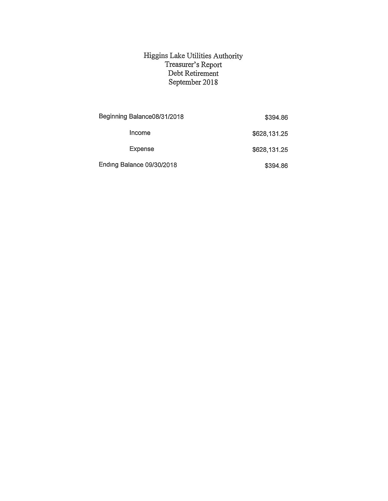## Higgins Lake Utilities Authority Treasurer's Report Debt Retirement September 2018

| Beginning Balance08/31/2018 | \$394.86     |
|-----------------------------|--------------|
| Income                      | \$628,131.25 |
| Expense                     | \$628,131.25 |
| Ending Balance 09/30/2018   | \$394.86     |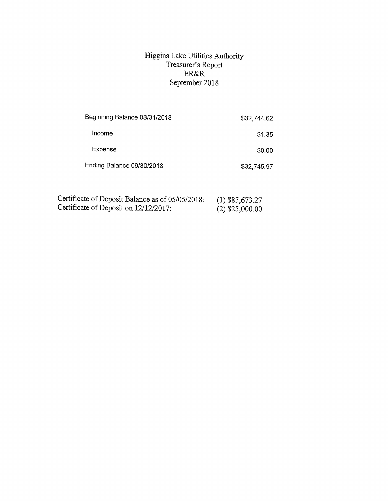## Higgins Lake Utilities Authority Treasurer's Report ER&R September 2018

| \$32,744.62 |
|-------------|
| \$1.35      |
| \$0.00      |
| \$32,745.97 |
|             |

| Certificate of Deposit Balance as of 05/05/2018: | $(1)$ \$85,673.27 |
|--------------------------------------------------|-------------------|
| Certificate of Deposit on 12/12/2017:            | $(2)$ \$25,000.00 |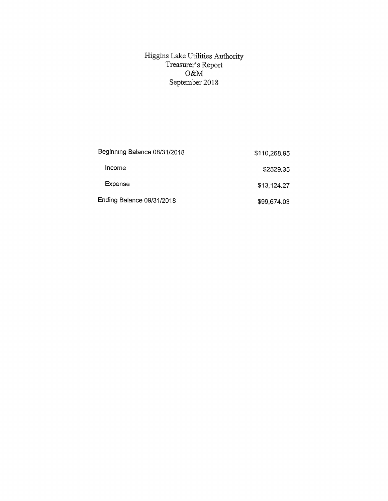## Higgins Lake Utilities Authority Treasurer's Report O&M September 2018

| Beginning Balance 08/31/2018 | \$110,268.95 |
|------------------------------|--------------|
| Income                       | \$2529.35    |
| Expense                      | \$13,124.27  |
| Ending Balance 09/31/2018    | \$99,674.03  |